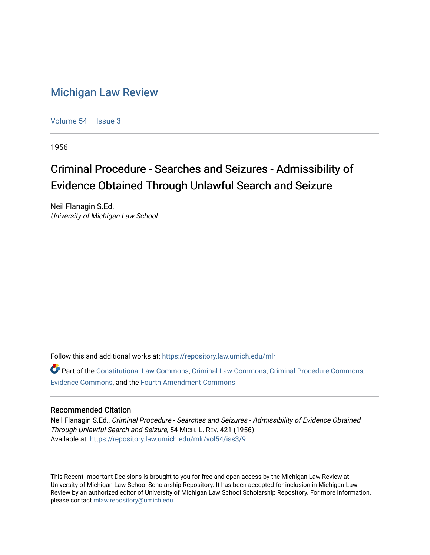## [Michigan Law Review](https://repository.law.umich.edu/mlr)

[Volume 54](https://repository.law.umich.edu/mlr/vol54) | [Issue 3](https://repository.law.umich.edu/mlr/vol54/iss3)

1956

## Criminal Procedure - Searches and Seizures - Admissibility of Evidence Obtained Through Unlawful Search and Seizure

Neil Flanagin S.Ed. University of Michigan Law School

Follow this and additional works at: [https://repository.law.umich.edu/mlr](https://repository.law.umich.edu/mlr?utm_source=repository.law.umich.edu%2Fmlr%2Fvol54%2Fiss3%2F9&utm_medium=PDF&utm_campaign=PDFCoverPages) 

Part of the [Constitutional Law Commons,](http://network.bepress.com/hgg/discipline/589?utm_source=repository.law.umich.edu%2Fmlr%2Fvol54%2Fiss3%2F9&utm_medium=PDF&utm_campaign=PDFCoverPages) [Criminal Law Commons,](http://network.bepress.com/hgg/discipline/912?utm_source=repository.law.umich.edu%2Fmlr%2Fvol54%2Fiss3%2F9&utm_medium=PDF&utm_campaign=PDFCoverPages) [Criminal Procedure Commons](http://network.bepress.com/hgg/discipline/1073?utm_source=repository.law.umich.edu%2Fmlr%2Fvol54%2Fiss3%2F9&utm_medium=PDF&utm_campaign=PDFCoverPages), [Evidence Commons](http://network.bepress.com/hgg/discipline/601?utm_source=repository.law.umich.edu%2Fmlr%2Fvol54%2Fiss3%2F9&utm_medium=PDF&utm_campaign=PDFCoverPages), and the [Fourth Amendment Commons](http://network.bepress.com/hgg/discipline/1180?utm_source=repository.law.umich.edu%2Fmlr%2Fvol54%2Fiss3%2F9&utm_medium=PDF&utm_campaign=PDFCoverPages)

## Recommended Citation

Neil Flanagin S.Ed., Criminal Procedure - Searches and Seizures - Admissibility of Evidence Obtained Through Unlawful Search and Seizure, 54 MICH. L. REV. 421 (1956). Available at: [https://repository.law.umich.edu/mlr/vol54/iss3/9](https://repository.law.umich.edu/mlr/vol54/iss3/9?utm_source=repository.law.umich.edu%2Fmlr%2Fvol54%2Fiss3%2F9&utm_medium=PDF&utm_campaign=PDFCoverPages)

This Recent Important Decisions is brought to you for free and open access by the Michigan Law Review at University of Michigan Law School Scholarship Repository. It has been accepted for inclusion in Michigan Law Review by an authorized editor of University of Michigan Law School Scholarship Repository. For more information, please contact [mlaw.repository@umich.edu.](mailto:mlaw.repository@umich.edu)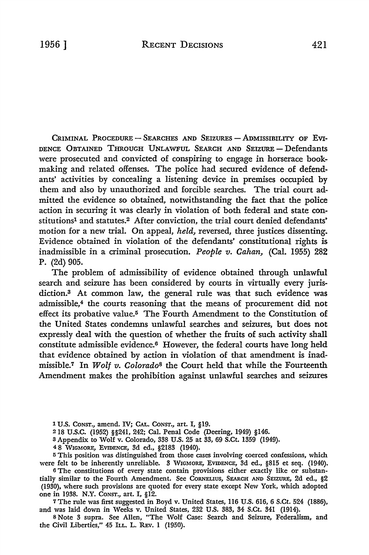CRIMINAL PROCEDURE - SEARCHES AND SEIZURES - ADMISSIBILITY OF EVI-DENCE OBTAINED THROUGH UNLAWFUL SEARCH AND SEIZURE-Defendants were prosecuted and convicted of conspiring to engage in horserace bookmaking and related offenses. The police had secured evidence of defendants' activities by concealing a listening device in premises occupied by them and also by unauthorized and forcible searches. The trial court admitted the evidence so obtained, notwithstanding the fact that the police action in securing it was clearly in violation of both federal and state constitutions<sup>1</sup> and statutes.<sup>2</sup> After conviction, the trial court denied defendants' motion for a new trial. On appeal, *held*, reversed, three justices dissenting. Evidence obtained in violation of the defendants' constitutional rights is inadmissible in a criminal prosecution. *People v. Cahan,* (Cal. 1955) 282 P. (2d) 905.

The problem of admissibility of evidence obtained through unlawful search and seizure has been considered by courts in virtually every jurisdiction.3 At common law, the general rule was. that such evidence was admissible,4 the courts reasoning that the means of procurement did not effect its probative value.5 The Fourth Amendment to the Constitution of the United States condemns unlawful searches and seizures, but does not expressly deal with the question of whether the fruits of such activity shall constitute admissible evidence.6 However, the federal courts have long held that evidence obtained by action in violation of that amendment is inadmissible. 7 In *Wolf v. Colorado*8 the Court held that while the Fourteenth Amendment makes the prohibition against unlawful searches and seizures

l U.S. CONST., amend. IV; CAL. CoNST., art. I, §19.

218 U.S.C. (1952) §§241, 242; Cal. Penal Code (Deering, 1949) §146.

<sup>3</sup>Appendix to Wolf v. Colorado, 338 U.S. 25 at 33, 69 S.Ct. 1359 (1949).

4 8 WIGMORE, EVIDENCE, 3d ed., §2183 (1940).

<sup>5</sup>This position was distinguished from those cases involving coerced confessions, which were felt to be inherently unreliable. 3 WIGMORE, EVIDENCE, 3d ed., §815 et seq. (1940).

6 The constitutions of every state contain provisions either exactly like or substantially similar to the Fourth Amendment. See CORNELIUS, SEARCH AND SEIZURE, 2d ed., §2 (1930), where such provisions are quoted for every state except New York, which adopted one in 1938. N.Y. CONST., art. I, §12.

<sup>7</sup>The rule was first suggested in Boyd v. United States, 116 U.S. 616, 6 S.Ct. 524 (1886), and was laid down in Weeks v. United States, 232 U.S. 383, 34 S.Ct. 341 (1914).

8 Note 3 supra. See Allen, "The Wolf Case: Search and Seizure, Federalism, and the Civil Liberties,'' 45 ILL. L. REv. 1 (1950).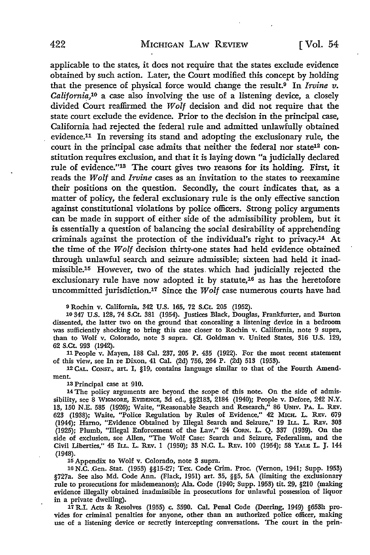applicable to the states, it does not require that the states exclude evidence obtained by such action. Later, the Court modified this concept by holding that the presence of physical force would change the result.9 In *Irvine v. California*,<sup>10</sup> a case also involving the use of a listening device, a closely divided Court reaffirmed the *Wolf* decision and did not require that the state court exclude the evidence. Prior to the decision in the principal case, California had rejected the federal rule and admitted unlawfully obtained evidence.11 In reversing its stand and adopting the exclusionary rule, the court in the principal case admits that neither the federal nor state12 constitution requires exclusion, and that it is laying down "a judicially declared rule of evidence."13 The court gives two reasons for its holding. First, it reads the *Wolf* and *Irvine* cases as an invitation to the states to reexamine their positions on the question. Secondly, the court indicates that, as a matter of policy, the federal exclusionary rule is the only effective sanction against constitutional violations by police officers. Strong policy arguments can be made in support of either side of the admissibility problem, but it is essentially a question of balancing the social desirability of apprehending criminals against the protection of the individual's right to privacy.14 At the time of the *Wolf* decision thirty-one states had held evidence obtained through unlawful search and seizure admissible; sixteen had held it inadmissible.15 However, two of the states. which had judicially rejected the exclusionary rule have now adopted it by statute,<sup>16</sup> as has the heretofore uncommitted jurisdiction.<sup>17</sup> Since the *Wolf* case numerous courts have had

9 Rochin v. California, 342 U.S. 165, 72 S.Ct. 205 (1952).

10 347 U.S. 128, 74 S.Ct. 381 (1954). Justices Black, Douglas, Frankfurter, and Burton dissented, the latter two on the ground that concealing a listening device in a bedroom was sufficiently shocking to bring this case closer to Rochin v. California, note 9 supra, than to Wolf v. Colorado, note 3 supra. Cf. Goldman v. United States, 316 U.S. 129, 62 S.Ct. 993 (1942).

11 People v. Mayen, 188 Cal. 237, 205 P. 435 (1922). For the most recent statement of this view, see In re Dixon, 41 Cal. (2d) 756, 264 P. (2d) 513 (1953).

12 CAL. CONST., art. I, §19, contains language similar to that of the Fourth Amendment.

13 Principal case at 910.

14 The policy arguments are beyond the scope of this note. On the side of admissibility, see 8 WIGMORE, EVIDENCE, 3d ed., §§2183, 2184 (1940); People v. Defore, 242 **N.Y.**  13, 150 N.E. 585 (1926); Waite, "Reasonable Search and Research," 86 UNIV. PA. L. REv. 623 (1938); Waite, "Police Regulation by Rules of Evidence," 42 MICH. L. REv. 679 (1944); Harno, "Evidence Obtained by Illegal Search and Seizure,'' 19 ILL. L. REv. 303 (1925); Plumb, "Illegal Enforcement of the Law," 24 CoRN. L. Q. 337 (1939). On the side of exclusion, see Allen, "The Wolf Case: Search and Seizure, Federalism, and the Civil Liberties," 45 ILL. L. REv. 1 (1950); 33 N.C. L. REv. 100 (1954); 58 YALE L. J. 144 (1948).

15 Appendix to Wolf v. Colorado, note 3 supra.

16 N.C. Gen. Stat. (1953) §§15-27; Tex. Code Crim. Proc. (Vernon, 1941; Supp. 1953) §727a. See also Md. Code Ann. (Flack, 1951) art. 35, §§5, 5A (limiting the exclusionary rule to prosecutions for misdemeanors); Ala. Code (1940; Supp. 1953) tit. 29, §210 (making evidence illegally obtained inadmissible in prosecutions for unlawful possession of liquor in a private dwelling).

17 R.I. Acts & Resolves (1955) c. 3590. Cal. Penal Code (Deering, 1949) §653h provides for criminal penalties for anyone, other than an authorized police officer, making use of a listening device or secretly intercepting conversations. The court in the prin